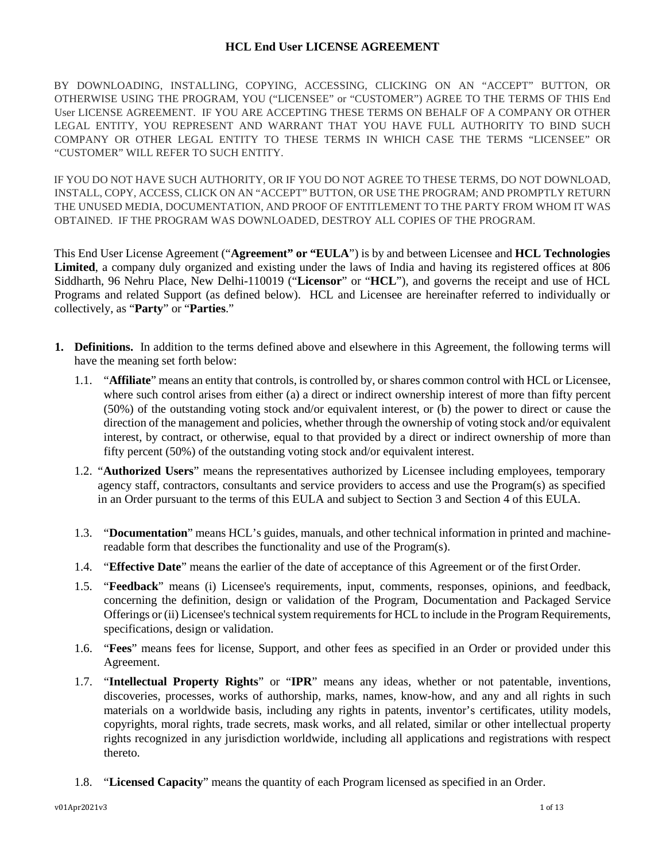# **HCL End User LICENSE AGREEMENT**

BY DOWNLOADING, INSTALLING, COPYING, ACCESSING, CLICKING ON AN "ACCEPT" BUTTON, OR OTHERWISE USING THE PROGRAM, YOU ("LICENSEE" or "CUSTOMER") AGREE TO THE TERMS OF THIS End User LICENSE AGREEMENT. IF YOU ARE ACCEPTING THESE TERMS ON BEHALF OF A COMPANY OR OTHER LEGAL ENTITY, YOU REPRESENT AND WARRANT THAT YOU HAVE FULL AUTHORITY TO BIND SUCH COMPANY OR OTHER LEGAL ENTITY TO THESE TERMS IN WHICH CASE THE TERMS "LICENSEE" OR "CUSTOMER" WILL REFER TO SUCH ENTITY.

IF YOU DO NOT HAVE SUCH AUTHORITY, OR IF YOU DO NOT AGREE TO THESE TERMS, DO NOT DOWNLOAD, INSTALL, COPY, ACCESS, CLICK ON AN "ACCEPT" BUTTON, OR USE THE PROGRAM; AND PROMPTLY RETURN THE UNUSED MEDIA, DOCUMENTATION, AND PROOF OF ENTITLEMENT TO THE PARTY FROM WHOM IT WAS OBTAINED. IF THE PROGRAM WAS DOWNLOADED, DESTROY ALL COPIES OF THE PROGRAM.

This End User License Agreement ("**Agreement" or "EULA**") is by and between Licensee and **HCL Technologies Limited**, a company duly organized and existing under the laws of India and having its registered offices at 806 Siddharth, 96 Nehru Place, New Delhi-110019 ("**Licensor**" or "**HCL**"), and governs the receipt and use of HCL Programs and related Support (as defined below). HCL and Licensee are hereinafter referred to individually or collectively, as "**Party**" or "**Parties**."

- <span id="page-0-0"></span>**1. Definitions.** In addition to the terms defined above and elsewhere in this Agreement, the following terms will have the meaning set forth below:
	- 1.1. "**Affiliate**" means an entity that controls, is controlled by, or shares common control with HCL or Licensee, where such control arises from either (a) a direct or indirect ownership interest of more than fifty percent (50%) of the outstanding voting stock and/or equivalent interest, or (b) the power to direct or cause the direction of the management and policies, whether through the ownership of voting stock and/or equivalent interest, by contract, or otherwise, equal to that provided by a direct or indirect ownership of more than fifty percent (50%) of the outstanding voting stock and/or equivalent interest.
	- 1.2. "**Authorized Users**" means the representatives authorized by Licensee including employees, temporary agency staff, contractors, consultants and service providers to access and use the Program(s) as specified in an Order pursuant to the terms of this EULA and subject to Section 3 and Section 4 of this EULA.
	- 1.3. "**Documentation**" means HCL's guides, manuals, and other technical information in printed and machinereadable form that describes the functionality and use of the Program(s).
	- 1.4. "**Effective Date**" means the earlier of the date of acceptance of this Agreement or of the firstOrder.
	- 1.5. "**Feedback**" means (i) Licensee's requirements, input, comments, responses, opinions, and feedback, concerning the definition, design or validation of the Program, Documentation and Packaged Service Offerings or (ii) Licensee's technical system requirements for HCL to include in the Program Requirements, specifications, design or validation.
	- 1.6. "**Fees**" means fees for license, Support, and other fees as specified in an Order or provided under this Agreement.
	- 1.7. "**Intellectual Property Rights**" or "**IPR**" means any ideas, whether or not patentable, inventions, discoveries, processes, works of authorship, marks, names, know-how, and any and all rights in such materials on a worldwide basis, including any rights in patents, inventor's certificates, utility models, copyrights, moral rights, trade secrets, mask works, and all related, similar or other intellectual property rights recognized in any jurisdiction worldwide, including all applications and registrations with respect thereto.
	- 1.8. "**Licensed Capacity**" means the quantity of each Program licensed as specified in an Order.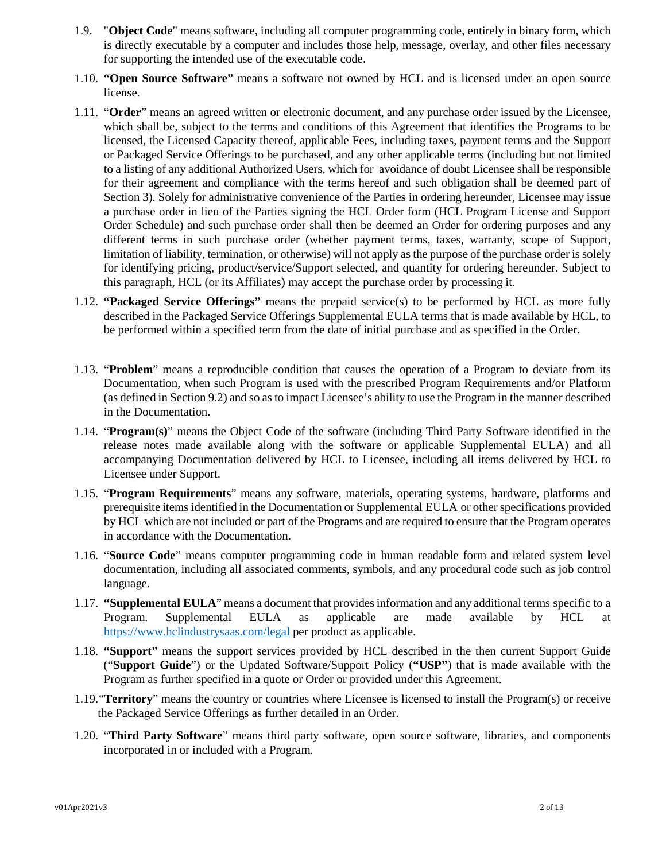- 1.9. "**Object Code**" means software, including all computer programming code, entirely in binary form, which is directly executable by a computer and includes those help, message, overlay, and other files necessary for supporting the intended use of the executable code.
- 1.10. **"Open Source Software"** means a software not owned by HCL and is licensed under an open source license.
- 1.11. "**Order**" means an agreed written or electronic document, and any purchase order issued by the Licensee, which shall be, subject to the terms and conditions of this Agreement that identifies the Programs to be licensed, the Licensed Capacity thereof, applicable Fees, including taxes, payment terms and the Support or Packaged Service Offerings to be purchased, and any other applicable terms (including but not limited to a listing of any additional Authorized Users, which for avoidance of doubt Licensee shall be responsible for their agreement and compliance with the terms hereof and such obligation shall be deemed part of Section 3). Solely for administrative convenience of the Parties in ordering hereunder, Licensee may issue a purchase order in lieu of the Parties signing the HCL Order form (HCL Program License and Support Order Schedule) and such purchase order shall then be deemed an Order for ordering purposes and any different terms in such purchase order (whether payment terms, taxes, warranty, scope of Support, limitation of liability, termination, or otherwise) will not apply as the purpose of the purchase order is solely for identifying pricing, product/service/Support selected, and quantity for ordering hereunder. Subject to this paragraph, HCL (or its Affiliates) may accept the purchase order by processing it.
- 1.12. **"Packaged Service Offerings"** means the prepaid service(s) to be performed by HCL as more fully described in the Packaged Service Offerings Supplemental EULA terms that is made available by HCL, to be performed within a specified term from the date of initial purchase and as specified in the Order.
- 1.13. "**Problem**" means a reproducible condition that causes the operation of a Program to deviate from its Documentation, when such Program is used with the prescribed Program Requirements and/or Platform (as defined in Section 9.2) and so as to impact Licensee's ability to use the Program in the manner described in the Documentation.
- 1.14. "**Program(s)**" means the Object Code of the software (including Third Party Software identified in the release notes made available along with the software or applicable Supplemental EULA) and all accompanying Documentation delivered by HCL to Licensee, including all items delivered by HCL to Licensee under Support.
- 1.15. "**Program Requirements**" means any software, materials, operating systems, hardware, platforms and prerequisite items identified in the Documentation or Supplemental EULA or other specifications provided by HCL which are not included or part of the Programs and are required to ensure that the Program operates in accordance with the Documentation.
- 1.16. "**Source Code**" means computer programming code in human readable form and related system level documentation, including all associated comments, symbols, and any procedural code such as job control language.
- 1.17. **"Supplemental EULA**" means a document that providesinformation and any additional terms specific to a Program. Supplemental EULA as applicable are made available by HCL at <https://www.hclindustrysaas.com/legal> per product as applicable.
- 1.18. **"Support"** means the support services provided by HCL described in the then current Support Guide ("**Support Guide**") or the Updated Software/Support Policy (**"USP"**) that is made available with the Program as further specified in a quote or Order or provided under this Agreement.
- 1.19."**Territory**" means the country or countries where Licensee is licensed to install the Program(s) or receive the Packaged Service Offerings as further detailed in an Order.
- 1.20. "**Third Party Software**" means third party software, open source software, libraries, and components incorporated in or included with a Program.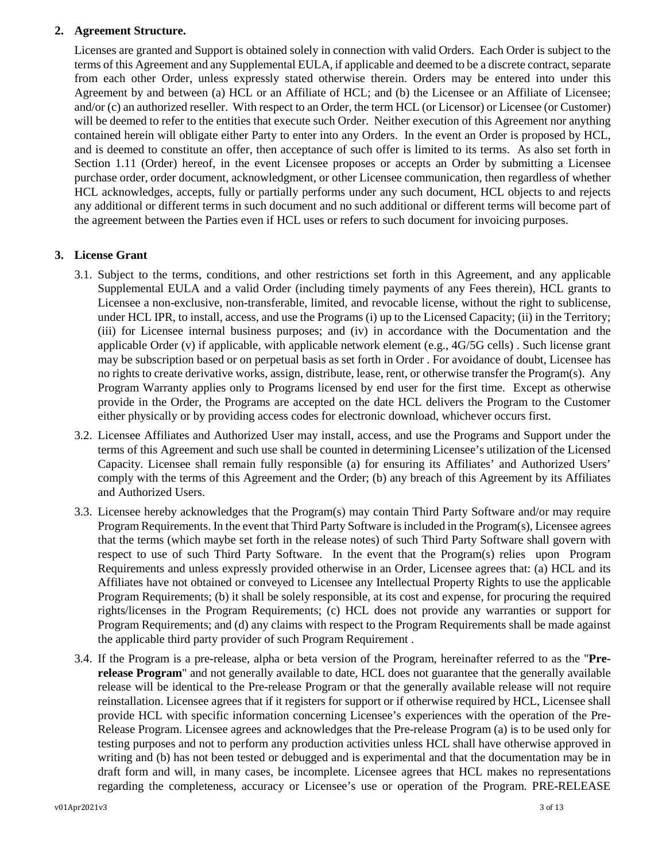# **2. Agreement Structure.**

Licenses are granted and Support is obtained solely in connection with valid Orders. Each Order is subject to the terms of this Agreement and any Supplemental EULA, if applicable and deemed to be a discrete contract, separate from each other Order, unless expressly stated otherwise therein. Orders may be entered into under this Agreement by and between (a) HCL or an Affiliate of HCL; and (b) the Licensee or an Affiliate of Licensee; and/or (c) an authorized reseller. With respect to an Order, the term HCL (or Licensor) or Licensee (or Customer) will be deemed to refer to the entities that execute such Order. Neither execution of this Agreement nor anything contained herein will obligate either Party to enter into any Orders. In the event an Order is proposed by HCL, and is deemed to constitute an offer, then acceptance of such offer is limited to its terms. As also set forth in Section 1.11 (Order) hereof, in the event Licensee proposes or accepts an Order by submitting a Licensee purchase order, order document, acknowledgment, or other Licensee communication, then regardless of whether HCL acknowledges, accepts, fully or partially performs under any such document, HCL objects to and rejects any additional or different terms in such document and no such additional or different terms will become part of the agreement between the Parties even if HCL uses or refers to such document for invoicing purposes.

# <span id="page-2-0"></span>**3. License Grant**

- 3.1. Subject to the terms, conditions, and other restrictions set forth in this Agreement, and any applicable Supplemental EULA and a valid Order (including timely payments of any Fees therein), HCL grants to Licensee a non-exclusive, non-transferable, limited, and revocable license, without the right to sublicense, under HCL IPR, to install, access, and use the Programs (i) up to the Licensed Capacity; (ii) in the Territory; (iii) for Licensee internal business purposes; and (iv) in accordance with the Documentation and the applicable Order (v) if applicable, with applicable network element (e.g., 4G/5G cells) . Such license grant may be subscription based or on perpetual basis as set forth in Order . For avoidance of doubt, Licensee has no rights to create derivative works, assign, distribute, lease, rent, or otherwise transfer the Program(s). Any Program Warranty applies only to Programs licensed by end user for the first time. Except as otherwise provide in the Order, the Programs are accepted on the date HCL delivers the Program to the Customer either physically or by providing access codes for electronic download, whichever occurs first.
- 3.2. Licensee Affiliates and Authorized User may install, access, and use the Programs and Support under the terms of this Agreement and such use shall be counted in determining Licensee's utilization of the Licensed Capacity. Licensee shall remain fully responsible (a) for ensuring its Affiliates' and Authorized Users' comply with the terms of this Agreement and the Order; (b) any breach of this Agreement by its Affiliates and Authorized Users.
- 3.3. Licensee hereby acknowledges that the Program(s) may contain Third Party Software and/or may require Program Requirements. In the event that Third Party Software is included in the Program(s), Licensee agrees that the terms (which maybe set forth in the release notes) of such Third Party Software shall govern with respect to use of such Third Party Software. In the event that the Program(s) relies upon Program Requirements and unless expressly provided otherwise in an Order, Licensee agrees that: (a) HCL and its Affiliates have not obtained or conveyed to Licensee any Intellectual Property Rights to use the applicable Program Requirements; (b) it shall be solely responsible, at its cost and expense, for procuring the required rights/licenses in the Program Requirements; (c) HCL does not provide any warranties or support for Program Requirements; and (d) any claims with respect to the Program Requirements shall be made against the applicable third party provider of such Program Requirement .
- 3.4. If the Program is a pre-release, alpha or beta version of the Program, hereinafter referred to as the "**Prerelease Program**" and not generally available to date, HCL does not guarantee that the generally available release will be identical to the Pre-release Program or that the generally available release will not require reinstallation. Licensee agrees that if it registers for support or if otherwise required by HCL, Licensee shall provide HCL with specific information concerning Licensee's experiences with the operation of the Pre-Release Program. Licensee agrees and acknowledges that the Pre-release Program (a) is to be used only for testing purposes and not to perform any production activities unless HCL shall have otherwise approved in writing and (b) has not been tested or debugged and is experimental and that the documentation may be in draft form and will, in many cases, be incomplete. Licensee agrees that HCL makes no representations regarding the completeness, accuracy or Licensee's use or operation of the Program. PRE-RELEASE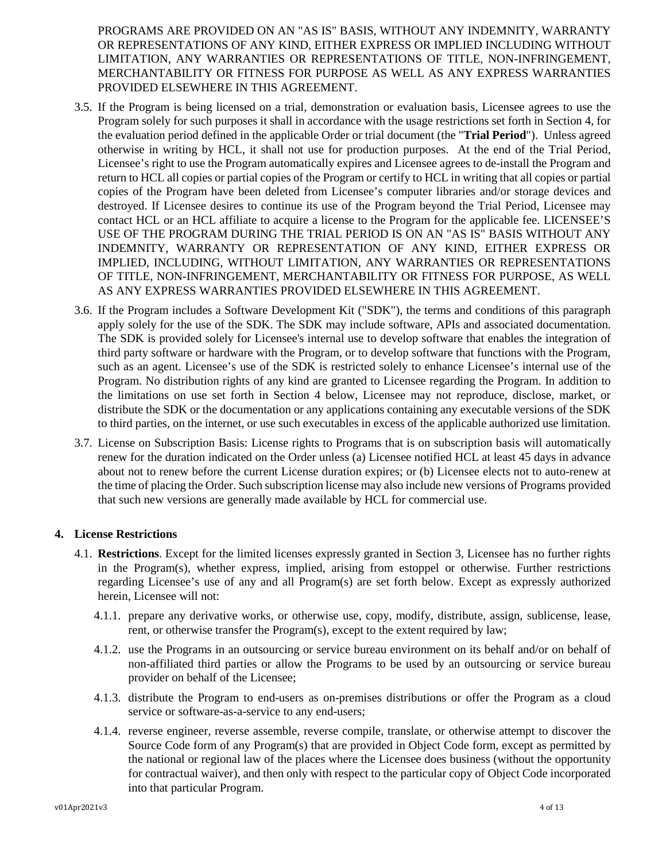PROGRAMS ARE PROVIDED ON AN "AS IS" BASIS, WITHOUT ANY INDEMNITY, WARRANTY OR REPRESENTATIONS OF ANY KIND, EITHER EXPRESS OR IMPLIED INCLUDING WITHOUT LIMITATION, ANY WARRANTIES OR REPRESENTATIONS OF TITLE, NON-INFRINGEMENT, MERCHANTABILITY OR FITNESS FOR PURPOSE AS WELL AS ANY EXPRESS WARRANTIES PROVIDED ELSEWHERE IN THIS AGREEMENT.

- 3.5. If the Program is being licensed on a trial, demonstration or evaluation basis, Licensee agrees to use the Program solely for such purposes it shall in accordance with the usage restrictions set forth in Section 4, for the evaluation period defined in the applicable Order or trial document (the "**Trial Period**"). Unless agreed otherwise in writing by HCL, it shall not use for production purposes. At the end of the Trial Period, Licensee's right to use the Program automatically expires and Licensee agrees to de-install the Program and return to HCL all copies or partial copies of the Program or certify to HCL in writing that all copies or partial copies of the Program have been deleted from Licensee's computer libraries and/or storage devices and destroyed. If Licensee desires to continue its use of the Program beyond the Trial Period, Licensee may contact HCL or an HCL affiliate to acquire a license to the Program for the applicable fee. LICENSEE'S USE OF THE PROGRAM DURING THE TRIAL PERIOD IS ON AN "AS IS" BASIS WITHOUT ANY INDEMNITY, WARRANTY OR REPRESENTATION OF ANY KIND, EITHER EXPRESS OR IMPLIED, INCLUDING, WITHOUT LIMITATION, ANY WARRANTIES OR REPRESENTATIONS OF TITLE, NON-INFRINGEMENT, MERCHANTABILITY OR FITNESS FOR PURPOSE, AS WELL AS ANY EXPRESS WARRANTIES PROVIDED ELSEWHERE IN THIS AGREEMENT.
- 3.6. If the Program includes a Software Development Kit ("SDK"), the terms and conditions of this paragraph apply solely for the use of the SDK. The SDK may include software, APIs and associated documentation. The SDK is provided solely for Licensee's internal use to develop software that enables the integration of third party software or hardware with the Program, or to develop software that functions with the Program, such as an agent. Licensee's use of the SDK is restricted solely to enhance Licensee's internal use of the Program. No distribution rights of any kind are granted to Licensee regarding the Program. In addition to the limitations on use set forth in Section 4 below, Licensee may not reproduce, disclose, market, or distribute the SDK or the documentation or any applications containing any executable versions of the SDK to third parties, on the internet, or use such executables in excess of the applicable authorized use limitation.
- 3.7. License on Subscription Basis: License rights to Programs that is on subscription basis will automatically renew for the duration indicated on the Order unless (a) Licensee notified HCL at least 45 days in advance about not to renew before the current License duration expires; or (b) Licensee elects not to auto-renew at the time of placing the Order. Such subscription license may also include new versions of Programs provided that such new versions are generally made available by HCL for commercial use.

# <span id="page-3-0"></span>**4. License Restrictions**

- 4.1. **Restrictions**. Except for the limited licenses expressly granted in Section 3, Licensee has no further rights in the Program(s), whether express, implied, arising from estoppel or otherwise. Further restrictions regarding Licensee's use of any and all Program(s) are set forth below. Except as expressly authorized herein, Licensee will not:
	- 4.1.1. prepare any derivative works, or otherwise use, copy, modify, distribute, assign, sublicense, lease, rent, or otherwise transfer the Program(s), except to the extent required by law;
	- 4.1.2. use the Programs in an outsourcing or service bureau environment on its behalf and/or on behalf of non-affiliated third parties or allow the Programs to be used by an outsourcing or service bureau provider on behalf of the Licensee;
	- 4.1.3. distribute the Program to end-users as on-premises distributions or offer the Program as a cloud service or software-as-a-service to any end-users;
	- 4.1.4. reverse engineer, reverse assemble, reverse compile, translate, or otherwise attempt to discover the Source Code form of any Program(s) that are provided in Object Code form, except as permitted by the national or regional law of the places where the Licensee does business (without the opportunity for contractual waiver), and then only with respect to the particular copy of Object Code incorporated into that particular Program.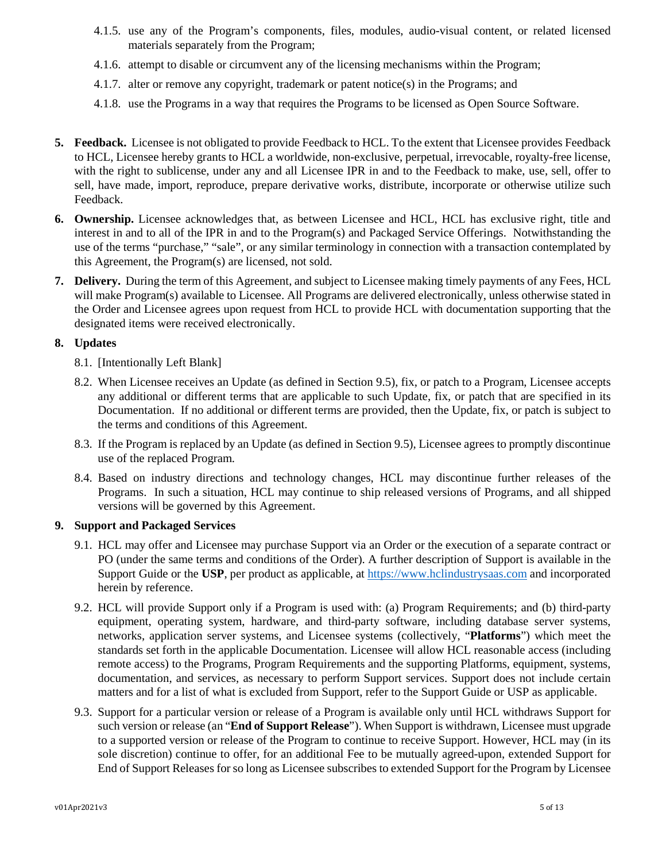- 4.1.5. use any of the Program's components, files, modules, audio-visual content, or related licensed materials separately from the Program;
- 4.1.6. attempt to disable or circumvent any of the licensing mechanisms within the Program;
- 4.1.7. alter or remove any copyright, trademark or patent notice(s) in the Programs; and
- 4.1.8. use the Programs in a way that requires the Programs to be licensed as Open Source Software.
- <span id="page-4-0"></span>**5. Feedback.** Licensee is not obligated to provide Feedback to HCL. To the extent that Licensee provides Feedback to HCL, Licensee hereby grants to HCL a worldwide, non-exclusive, perpetual, irrevocable, royalty-free license, with the right to sublicense, under any and all Licensee IPR in and to the Feedback to make, use, sell, offer to sell, have made, import, reproduce, prepare derivative works, distribute, incorporate or otherwise utilize such Feedback.
- <span id="page-4-1"></span>**6. Ownership.** Licensee acknowledges that, as between Licensee and HCL, HCL has exclusive right, title and interest in and to all of the IPR in and to the Program(s) and Packaged Service Offerings. Notwithstanding the use of the terms "purchase," "sale", or any similar terminology in connection with a transaction contemplated by this Agreement, the Program(s) are licensed, not sold.
- **7. Delivery.** During the term of this Agreement, and subject to Licensee making timely payments of any Fees, HCL will make Program(s) available to Licensee. All Programs are delivered electronically, unless otherwise stated in the Order and Licensee agrees upon request from HCL to provide HCL with documentation supporting that the designated items were received electronically.

# **8. Updates**

- 8.1. [Intentionally Left Blank]
- 8.2. When Licensee receives an Update (as defined in Section 9.5), fix, or patch to a Program, Licensee accepts any additional or different terms that are applicable to such Update, fix, or patch that are specified in its Documentation. If no additional or different terms are provided, then the Update, fix, or patch is subject to the terms and conditions of this Agreement.
- 8.3. If the Program is replaced by an Update (as defined in Section 9.5), Licensee agrees to promptly discontinue use of the replaced Program.
- 8.4. Based on industry directions and technology changes, HCL may discontinue further releases of the Programs. In such a situation, HCL may continue to ship released versions of Programs, and all shipped versions will be governed by this Agreement.

# **9. Support and Packaged Services**

- 9.1. HCL may offer and Licensee may purchase Support via an Order or the execution of a separate contract or PO (under the same terms and conditions of the Order). A further description of Support is available in the Support Guide or the **USP**, per product as applicable, at [https://www.hclindustrysaas.com](https://www.hclindustrysaas.com/) and incorporated herein by reference.
- 9.2. HCL will provide Support only if a Program is used with: (a) Program Requirements; and (b) third-party equipment, operating system, hardware, and third-party software, including database server systems, networks, application server systems, and Licensee systems (collectively, "**Platforms**") which meet the standards set forth in the applicable Documentation. Licensee will allow HCL reasonable access (including remote access) to the Programs, Program Requirements and the supporting Platforms, equipment, systems, documentation, and services, as necessary to perform Support services. Support does not include certain matters and for a list of what is excluded from Support, refer to the Support Guide or USP as applicable.
- 9.3. Support for a particular version or release of a Program is available only until HCL withdraws Support for such version or release (an "**End of Support Release**"). When Support is withdrawn, Licensee must upgrade to a supported version or release of the Program to continue to receive Support. However, HCL may (in its sole discretion) continue to offer, for an additional Fee to be mutually agreed-upon, extended Support for End of Support Releases for so long as Licensee subscribes to extended Support for the Program by Licensee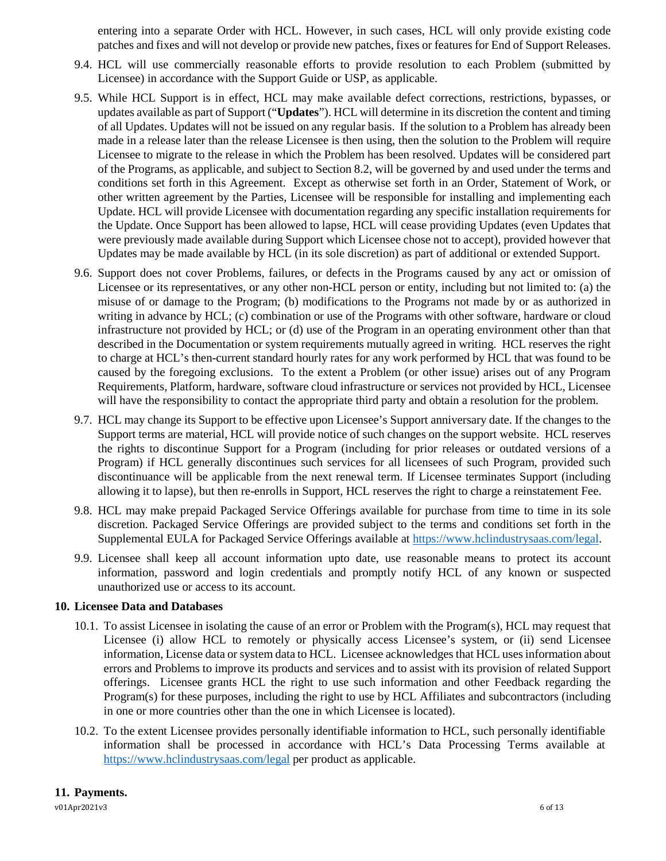entering into a separate Order with HCL. However, in such cases, HCL will only provide existing code patches and fixes and will not develop or provide new patches, fixes or features for End of Support Releases.

- 9.4. HCL will use commercially reasonable efforts to provide resolution to each Problem (submitted by Licensee) in accordance with the Support Guide or USP, as applicable.
- 9.5. While HCL Support is in effect, HCL may make available defect corrections, restrictions, bypasses, or updates available as part of Support ("**Updates**"). HCL will determine in its discretion the content and timing of all Updates. Updates will not be issued on any regular basis. If the solution to a Problem has already been made in a release later than the release Licensee is then using, then the solution to the Problem will require Licensee to migrate to the release in which the Problem has been resolved. Updates will be considered part of the Programs, as applicable, and subject to Section 8.2, will be governed by and used under the terms and conditions set forth in this Agreement. Except as otherwise set forth in an Order, Statement of Work, or other written agreement by the Parties, Licensee will be responsible for installing and implementing each Update. HCL will provide Licensee with documentation regarding any specific installation requirements for the Update. Once Support has been allowed to lapse, HCL will cease providing Updates (even Updates that were previously made available during Support which Licensee chose not to accept), provided however that Updates may be made available by HCL (in its sole discretion) as part of additional or extended Support.
- 9.6. Support does not cover Problems, failures, or defects in the Programs caused by any act or omission of Licensee or its representatives, or any other non-HCL person or entity, including but not limited to: (a) the misuse of or damage to the Program; (b) modifications to the Programs not made by or as authorized in writing in advance by HCL; (c) combination or use of the Programs with other software, hardware or cloud infrastructure not provided by HCL; or (d) use of the Program in an operating environment other than that described in the Documentation or system requirements mutually agreed in writing. HCL reserves the right to charge at HCL's then-current standard hourly rates for any work performed by HCL that was found to be caused by the foregoing exclusions. To the extent a Problem (or other issue) arises out of any Program Requirements, Platform, hardware, software cloud infrastructure or services not provided by HCL, Licensee will have the responsibility to contact the appropriate third party and obtain a resolution for the problem.
- 9.7. HCL may change its Support to be effective upon Licensee's Support anniversary date. If the changes to the Support terms are material, HCL will provide notice of such changes on the support website. HCL reserves the rights to discontinue Support for a Program (including for prior releases or outdated versions of a Program) if HCL generally discontinues such services for all licensees of such Program, provided such discontinuance will be applicable from the next renewal term. If Licensee terminates Support (including allowing it to lapse), but then re-enrolls in Support, HCL reserves the right to charge a reinstatement Fee.
- 9.8. HCL may make prepaid Packaged Service Offerings available for purchase from time to time in its sole discretion. Packaged Service Offerings are provided subject to the terms and conditions set forth in the Supplemental EULA for Packaged Service Offerings available at [https://www.hclindustrysaas.com/legal.](https://www.hclindustrysaas.com/legal)
- 9.9. Licensee shall keep all account information upto date, use reasonable means to protect its account information, password and login credentials and promptly notify HCL of any known or suspected unauthorized use or access to its account.

# **10. Licensee Data and Databases**

- 10.1. To assist Licensee in isolating the cause of an error or Problem with the Program(s), HCL may request that Licensee (i) allow HCL to remotely or physically access Licensee's system, or (ii) send Licensee information, License data or system data to HCL. Licensee acknowledges that HCL uses information about errors and Problems to improve its products and services and to assist with its provision of related Support offerings. Licensee grants HCL the right to use such information and other Feedback regarding the Program(s) for these purposes, including the right to use by HCL Affiliates and subcontractors (including in one or more countries other than the one in which Licensee is located).
- <span id="page-5-0"></span>10.2. To the extent Licensee provides personally identifiable information to HCL, such personally identifiable information shall be processed in accordance with HCL's Data Processing Terms available at <https://www.hclindustrysaas.com/legal> per product as applicable.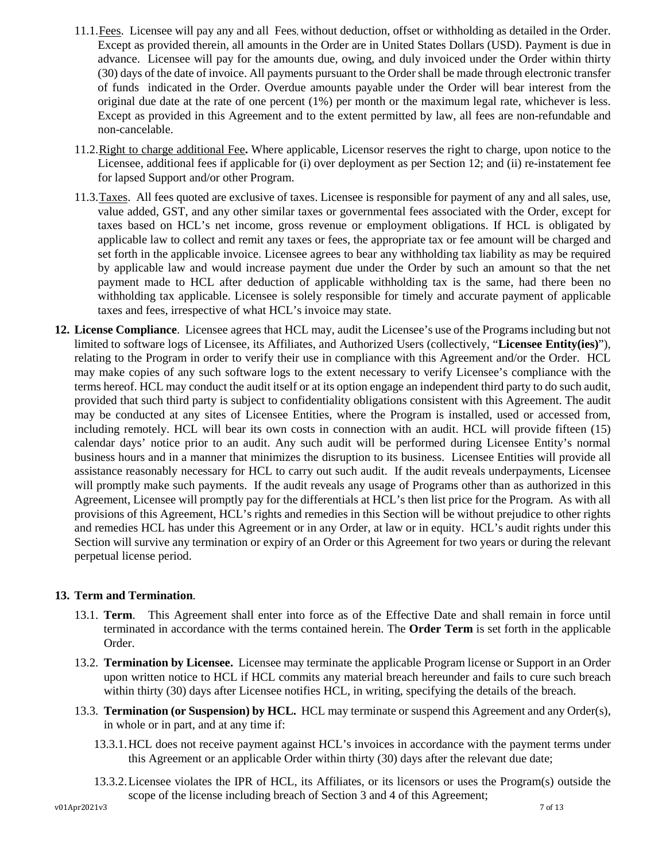- 11.1.Fees. Licensee will pay any and all Fees, without deduction, offset or withholding as detailed in the Order. Except as provided therein, all amounts in the Order are in United States Dollars (USD). Payment is due in advance. Licensee will pay for the amounts due, owing, and duly invoiced under the Order within thirty (30) days of the date of invoice. All payments pursuant to the Order shall be made through electronic transfer of funds indicated in the Order. Overdue amounts payable under the Order will bear interest from the original due date at the rate of one percent (1%) per month or the maximum legal rate, whichever is less. Except as provided in this Agreement and to the extent permitted by law, all fees are non-refundable and non-cancelable.
- 11.2.Right to charge additional Fee**.** Where applicable, Licensor reserves the right to charge, upon notice to the Licensee, additional fees if applicable for (i) over deployment as per Section 12; and (ii) re-instatement fee for lapsed Support and/or other Program.
- 11.3. Taxes. All fees quoted are exclusive of taxes. Licensee is responsible for payment of any and all sales, use, value added, GST, and any other similar taxes or governmental fees associated with the Order, except for taxes based on HCL's net income, gross revenue or employment obligations. If HCL is obligated by applicable law to collect and remit any taxes or fees, the appropriate tax or fee amount will be charged and set forth in the applicable invoice. Licensee agrees to bear any withholding tax liability as may be required by applicable law and would increase payment due under the Order by such an amount so that the net payment made to HCL after deduction of applicable withholding tax is the same, had there been no withholding tax applicable. Licensee is solely responsible for timely and accurate payment of applicable taxes and fees, irrespective of what HCL's invoice may state.
- **12. License Compliance**. Licensee agrees that HCL may, audit the Licensee's use of the Programsincluding but not limited to software logs of Licensee, its Affiliates, and Authorized Users (collectively, "**Licensee Entity(ies)**"), relating to the Program in order to verify their use in compliance with this Agreement and/or the Order. HCL may make copies of any such software logs to the extent necessary to verify Licensee's compliance with the terms hereof. HCL may conduct the audit itself or at its option engage an independent third party to do such audit, provided that such third party is subject to confidentiality obligations consistent with this Agreement. The audit may be conducted at any sites of Licensee Entities, where the Program is installed, used or accessed from, including remotely. HCL will bear its own costs in connection with an audit. HCL will provide fifteen (15) calendar days' notice prior to an audit. Any such audit will be performed during Licensee Entity's normal business hours and in a manner that minimizes the disruption to its business. Licensee Entities will provide all assistance reasonably necessary for HCL to carry out such audit. If the audit reveals underpayments, Licensee will promptly make such payments. If the audit reveals any usage of Programs other than as authorized in this Agreement, Licensee will promptly pay for the differentials at HCL's then list price for the Program. As with all provisions of this Agreement, HCL's rights and remedies in this Section will be without prejudice to other rights and remedies HCL has under this Agreement or in any Order, at law or in equity. HCL's audit rights under this Section will survive any termination or expiry of an Order or this Agreement for two years or during the relevant perpetual license period.

# <span id="page-6-0"></span>**13. Term and Termination**.

- 13.1. **Term**. This Agreement shall enter into force as of the Effective Date and shall remain in force until terminated in accordance with the terms contained herein. The **Order Term** is set forth in the applicable Order.
- 13.2. **Termination by Licensee.** Licensee may terminate the applicable Program license or Support in an Order upon written notice to HCL if HCL commits any material breach hereunder and fails to cure such breach within thirty (30) days after Licensee notifies HCL, in writing, specifying the details of the breach.
- 13.3. **Termination (or Suspension) by HCL.** HCL may terminate or suspend this Agreement and any Order(s), in whole or in part, and at any time if:
	- 13.3.1.HCL does not receive payment against HCL's invoices in accordance with the payment terms under this Agreement or an applicable Order within thirty (30) days after the relevant due date;
	- 13.3.2.Licensee violates the IPR of HCL, its Affiliates, or its licensors or uses the Program(s) outside the scope of the license including breach of Section 3 and 4 of this Agreement;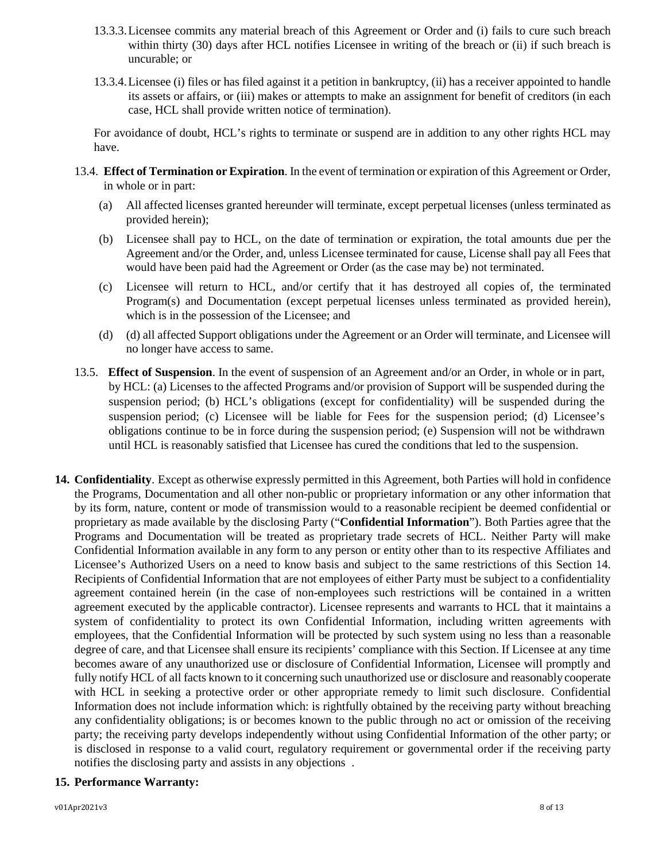- 13.3.3.Licensee commits any material breach of this Agreement or Order and (i) fails to cure such breach within thirty (30) days after HCL notifies Licensee in writing of the breach or (ii) if such breach is uncurable; or
- 13.3.4.Licensee (i) files or has filed against it a petition in bankruptcy, (ii) has a receiver appointed to handle its assets or affairs, or (iii) makes or attempts to make an assignment for benefit of creditors (in each case, HCL shall provide written notice of termination).

For avoidance of doubt, HCL's rights to terminate or suspend are in addition to any other rights HCL may have.

- 13.4. **Effect of Termination or Expiration**. In the event of termination or expiration of this Agreement or Order, in whole or in part:
	- (a) All affected licenses granted hereunder will terminate, except perpetual licenses (unless terminated as provided herein);
	- (b) Licensee shall pay to HCL, on the date of termination or expiration, the total amounts due per the Agreement and/or the Order, and, unless Licensee terminated for cause, License shall pay all Fees that would have been paid had the Agreement or Order (as the case may be) not terminated.
	- (c) Licensee will return to HCL, and/or certify that it has destroyed all copies of, the terminated Program(s) and Documentation (except perpetual licenses unless terminated as provided herein), which is in the possession of the Licensee; and
	- (d) (d) all affected Support obligations under the Agreement or an Order will terminate, and Licensee will no longer have access to same.
- 13.5. **Effect of Suspension**. In the event of suspension of an Agreement and/or an Order, in whole or in part, by HCL: (a) Licenses to the affected Programs and/or provision of Support will be suspended during the suspension period; (b) HCL's obligations (except for confidentiality) will be suspended during the suspension period; (c) Licensee will be liable for Fees for the suspension period; (d) Licensee's obligations continue to be in force during the suspension period; (e) Suspension will not be withdrawn until HCL is reasonably satisfied that Licensee has cured the conditions that led to the suspension.
- <span id="page-7-0"></span>**14. Confidentiality**. Except as otherwise expressly permitted in this Agreement, both Parties will hold in confidence the Programs, Documentation and all other non-public or proprietary information or any other information that by its form, nature, content or mode of transmission would to a reasonable recipient be deemed confidential or proprietary as made available by the disclosing Party ("**Confidential Information**"). Both Parties agree that the Programs and Documentation will be treated as proprietary trade secrets of HCL. Neither Party will make Confidential Information available in any form to any person or entity other than to its respective Affiliates and Licensee's Authorized Users on a need to know basis and subject to the same restrictions of this Section 14. Recipients of Confidential Information that are not employees of either Party must be subject to a confidentiality agreement contained herein (in the case of non-employees such restrictions will be contained in a written agreement executed by the applicable contractor). Licensee represents and warrants to HCL that it maintains a system of confidentiality to protect its own Confidential Information, including written agreements with employees, that the Confidential Information will be protected by such system using no less than a reasonable degree of care, and that Licensee shall ensure its recipients' compliance with this Section. If Licensee at any time becomes aware of any unauthorized use or disclosure of Confidential Information, Licensee will promptly and fully notify HCL of all facts known to it concerning such unauthorized use or disclosure and reasonably cooperate with HCL in seeking a protective order or other appropriate remedy to limit such disclosure. Confidential Information does not include information which: is rightfully obtained by the receiving party without breaching any confidentiality obligations; is or becomes known to the public through no act or omission of the receiving party; the receiving party develops independently without using Confidential Information of the other party; or is disclosed in response to a valid court, regulatory requirement or governmental order if the receiving party notifies the disclosing party and assists in any objections .

# **15. Performance Warranty:**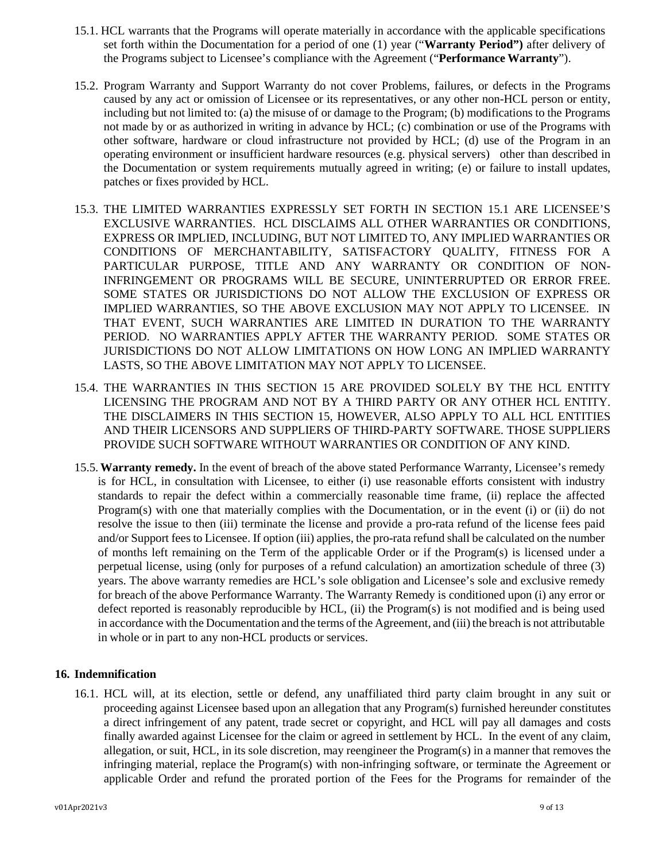- 15.1. HCL warrants that the Programs will operate materially in accordance with the applicable specifications set forth within the Documentation for a period of one (1) year ("**Warranty Period")** after delivery of the Programs subject to Licensee's compliance with the Agreement ("**Performance Warranty**").
- 15.2. Program Warranty and Support Warranty do not cover Problems, failures, or defects in the Programs caused by any act or omission of Licensee or its representatives, or any other non-HCL person or entity, including but not limited to: (a) the misuse of or damage to the Program; (b) modifications to the Programs not made by or as authorized in writing in advance by HCL; (c) combination or use of the Programs with other software, hardware or cloud infrastructure not provided by HCL; (d) use of the Program in an operating environment or insufficient hardware resources (e.g. physical servers) other than described in the Documentation or system requirements mutually agreed in writing; (e) or failure to install updates, patches or fixes provided by HCL.
- 15.3. THE LIMITED WARRANTIES EXPRESSLY SET FORTH IN SECTION 15.1 ARE LICENSEE'S EXCLUSIVE WARRANTIES. HCL DISCLAIMS ALL OTHER WARRANTIES OR CONDITIONS, EXPRESS OR IMPLIED, INCLUDING, BUT NOT LIMITED TO, ANY IMPLIED WARRANTIES OR CONDITIONS OF MERCHANTABILITY, SATISFACTORY QUALITY, FITNESS FOR A PARTICULAR PURPOSE, TITLE AND ANY WARRANTY OR CONDITION OF NON-INFRINGEMENT OR PROGRAMS WILL BE SECURE, UNINTERRUPTED OR ERROR FREE. SOME STATES OR JURISDICTIONS DO NOT ALLOW THE EXCLUSION OF EXPRESS OR IMPLIED WARRANTIES, SO THE ABOVE EXCLUSION MAY NOT APPLY TO LICENSEE. IN THAT EVENT, SUCH WARRANTIES ARE LIMITED IN DURATION TO THE WARRANTY PERIOD. NO WARRANTIES APPLY AFTER THE WARRANTY PERIOD. SOME STATES OR JURISDICTIONS DO NOT ALLOW LIMITATIONS ON HOW LONG AN IMPLIED WARRANTY LASTS, SO THE ABOVE LIMITATION MAY NOT APPLY TO LICENSEE.
- 15.4. THE WARRANTIES IN THIS SECTION 15 ARE PROVIDED SOLELY BY THE HCL ENTITY LICENSING THE PROGRAM AND NOT BY A THIRD PARTY OR ANY OTHER HCL ENTITY. THE DISCLAIMERS IN THIS SECTION 15, HOWEVER, ALSO APPLY TO ALL HCL ENTITIES AND THEIR LICENSORS AND SUPPLIERS OF THIRD-PARTY SOFTWARE. THOSE SUPPLIERS PROVIDE SUCH SOFTWARE WITHOUT WARRANTIES OR CONDITION OF ANY KIND.
- 15.5.**Warranty remedy.** In the event of breach of the above stated Performance Warranty, Licensee's remedy is for HCL, in consultation with Licensee, to either (i) use reasonable efforts consistent with industry standards to repair the defect within a commercially reasonable time frame, (ii) replace the affected Program(s) with one that materially complies with the Documentation, or in the event (i) or (ii) do not resolve the issue to then (iii) terminate the license and provide a pro-rata refund of the license fees paid and/or Support fees to Licensee. If option (iii) applies, the pro-rata refund shall be calculated on the number of months left remaining on the Term of the applicable Order or if the Program(s) is licensed under a perpetual license, using (only for purposes of a refund calculation) an amortization schedule of three (3) years. The above warranty remedies are HCL's sole obligation and Licensee's sole and exclusive remedy for breach of the above Performance Warranty. The Warranty Remedy is conditioned upon (i) any error or defect reported is reasonably reproducible by HCL, (ii) the Program(s) is not modified and is being used in accordance with the Documentation and the terms of the Agreement, and (iii) the breach is not attributable in whole or in part to any non-HCL products or services.

### **16. Indemnification**

16.1. HCL will, at its election, settle or defend, any unaffiliated third party claim brought in any suit or proceeding against Licensee based upon an allegation that any Program(s) furnished hereunder constitutes a direct infringement of any patent, trade secret or copyright, and HCL will pay all damages and costs finally awarded against Licensee for the claim or agreed in settlement by HCL. In the event of any claim, allegation, or suit, HCL, in its sole discretion, may reengineer the Program(s) in a manner that removes the infringing material, replace the Program(s) with non-infringing software, or terminate the Agreement or applicable Order and refund the prorated portion of the Fees for the Programs for remainder of the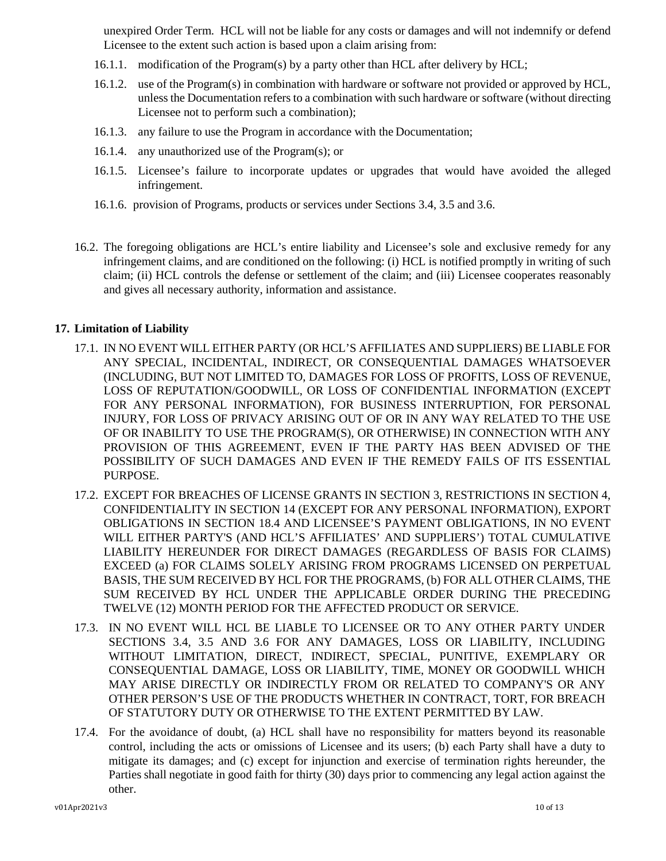unexpired Order Term. HCL will not be liable for any costs or damages and will not indemnify or defend Licensee to the extent such action is based upon a claim arising from:

- 16.1.1. modification of the Program(s) by a party other than HCL after delivery by HCL;
- 16.1.2. use of the Program(s) in combination with hardware or software not provided or approved by HCL, unless the Documentation refers to a combination with such hardware or software (without directing Licensee not to perform such a combination);
- 16.1.3. any failure to use the Program in accordance with the Documentation;
- 16.1.4. any unauthorized use of the Program(s); or
- 16.1.5. Licensee's failure to incorporate updates or upgrades that would have avoided the alleged infringement.
- 16.1.6. provision of Programs, products or services under Sections 3.4, 3.5 and 3.6.
- 16.2. The foregoing obligations are HCL's entire liability and Licensee's sole and exclusive remedy for any infringement claims, and are conditioned on the following: (i) HCL is notified promptly in writing of such claim; (ii) HCL controls the defense or settlement of the claim; and (iii) Licensee cooperates reasonably and gives all necessary authority, information and assistance.

# <span id="page-9-0"></span>**17. Limitation of Liability**

- 17.1. IN NO EVENT WILL EITHER PARTY (OR HCL'S AFFILIATES AND SUPPLIERS) BE LIABLE FOR ANY SPECIAL, INCIDENTAL, INDIRECT, OR CONSEQUENTIAL DAMAGES WHATSOEVER (INCLUDING, BUT NOT LIMITED TO, DAMAGES FOR LOSS OF PROFITS, LOSS OF REVENUE, LOSS OF REPUTATION/GOODWILL, OR LOSS OF CONFIDENTIAL INFORMATION (EXCEPT FOR ANY PERSONAL INFORMATION), FOR BUSINESS INTERRUPTION, FOR PERSONAL INJURY, FOR LOSS OF PRIVACY ARISING OUT OF OR IN ANY WAY RELATED TO THE USE OF OR INABILITY TO USE THE PROGRAM(S), OR OTHERWISE) IN CONNECTION WITH ANY PROVISION OF THIS AGREEMENT, EVEN IF THE PARTY HAS BEEN ADVISED OF THE POSSIBILITY OF SUCH DAMAGES AND EVEN IF THE REMEDY FAILS OF ITS ESSENTIAL PURPOSE.
- 17.2. EXCEPT FOR BREACHES OF LICENSE GRANTS IN SECTION [3,](#page-2-0) RESTRICTIONS IN SECTION [4,](#page-3-0) CONFIDENTIALITY IN SECTION 14 (EXCEPT FOR ANY PERSONAL INFORMATION), EXPORT OBLIGATIONS IN SECTION 18.4 AND LICENSEE'S PAYMENT OBLIGATIONS, IN NO EVENT WILL EITHER PARTY'S (AND HCL'S AFFILIATES' AND SUPPLIERS') TOTAL CUMULATIVE LIABILITY HEREUNDER FOR DIRECT DAMAGES (REGARDLESS OF BASIS FOR CLAIMS) EXCEED (a) FOR CLAIMS SOLELY ARISING FROM PROGRAMS LICENSED ON PERPETUAL BASIS, THE SUM RECEIVED BY HCL FOR THE PROGRAMS, (b) FOR ALL OTHER CLAIMS, THE SUM RECEIVED BY HCL UNDER THE APPLICABLE ORDER DURING THE PRECEDING TWELVE (12) MONTH PERIOD FOR THE AFFECTED PRODUCT OR SERVICE.
- 17.3. IN NO EVENT WILL HCL BE LIABLE TO LICENSEE OR TO ANY OTHER PARTY UNDER SECTIONS 3.4, 3.5 AND 3.6 FOR ANY DAMAGES, LOSS OR LIABILITY, INCLUDING WITHOUT LIMITATION, DIRECT, INDIRECT, SPECIAL, PUNITIVE, EXEMPLARY OR CONSEQUENTIAL DAMAGE, LOSS OR LIABILITY, TIME, MONEY OR GOODWILL WHICH MAY ARISE DIRECTLY OR INDIRECTLY FROM OR RELATED TO COMPANY'S OR ANY OTHER PERSON'S USE OF THE PRODUCTS WHETHER IN CONTRACT, TORT, FOR BREACH OF STATUTORY DUTY OR OTHERWISE TO THE EXTENT PERMITTED BY LAW.
- 17.4. For the avoidance of doubt, (a) HCL shall have no responsibility for matters beyond its reasonable control, including the acts or omissions of Licensee and its users; (b) each Party shall have a duty to mitigate its damages; and (c) except for injunction and exercise of termination rights hereunder, the Parties shall negotiate in good faith for thirty (30) days prior to commencing any legal action against the other.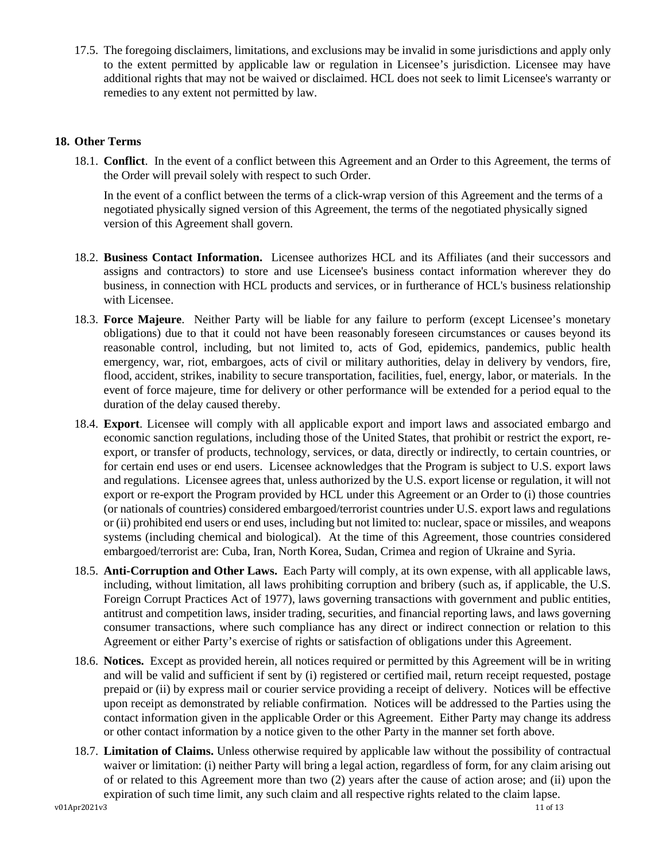17.5. The foregoing disclaimers, limitations, and exclusions may be invalid in some jurisdictions and apply only to the extent permitted by applicable law or regulation in Licensee's jurisdiction. Licensee may have additional rights that may not be waived or disclaimed. HCL does not seek to limit Licensee's warranty or remedies to any extent not permitted by law.

# <span id="page-10-0"></span>**18. Other Terms**

18.1. **Conflict**. In the event of a conflict between this Agreement and an Order to this Agreement, the terms of the Order will prevail solely with respect to such Order.

In the event of a conflict between the terms of a click-wrap version of this Agreement and the terms of a negotiated physically signed version of this Agreement, the terms of the negotiated physically signed version of this Agreement shall govern.

- 18.2. **Business Contact Information.** Licensee authorizes HCL and its Affiliates (and their successors and assigns and contractors) to store and use Licensee's business contact information wherever they do business, in connection with HCL products and services, or in furtherance of HCL's business relationship with Licensee.
- 18.3. **Force Majeure**. Neither Party will be liable for any failure to perform (except Licensee's monetary obligations) due to that it could not have been reasonably foreseen circumstances or causes beyond its reasonable control, including, but not limited to, acts of God, epidemics, pandemics, public health emergency, war, riot, embargoes, acts of civil or military authorities, delay in delivery by vendors, fire, flood, accident, strikes, inability to secure transportation, facilities, fuel, energy, labor, or materials. In the event of force majeure, time for delivery or other performance will be extended for a period equal to the duration of the delay caused thereby.
- 18.4. **Export**. Licensee will comply with all applicable export and import laws and associated embargo and economic sanction regulations, including those of the United States, that prohibit or restrict the export, reexport, or transfer of products, technology, services, or data, directly or indirectly, to certain countries, or for certain end uses or end users. Licensee acknowledges that the Program is subject to U.S. export laws and regulations. Licensee agrees that, unless authorized by the U.S. export license or regulation, it will not export or re-export the Program provided by HCL under this Agreement or an Order to (i) those countries (or nationals of countries) considered embargoed/terrorist countries under U.S. export laws and regulations or (ii) prohibited end users or end uses, including but not limited to: nuclear, space or missiles, and weapons systems (including chemical and biological). At the time of this Agreement, those countries considered embargoed/terrorist are: Cuba, Iran, North Korea, Sudan, Crimea and region of Ukraine and Syria.
- 18.5. **Anti-Corruption and Other Laws.** Each Party will comply, at its own expense, with all applicable laws, including, without limitation, all laws prohibiting corruption and bribery (such as, if applicable, the U.S. Foreign Corrupt Practices Act of 1977), laws governing transactions with government and public entities, antitrust and competition laws, insider trading, securities, and financial reporting laws, and laws governing consumer transactions, where such compliance has any direct or indirect connection or relation to this Agreement or either Party's exercise of rights or satisfaction of obligations under this Agreement.
- 18.6. **Notices.** Except as provided herein, all notices required or permitted by this Agreement will be in writing and will be valid and sufficient if sent by (i) registered or certified mail, return receipt requested, postage prepaid or (ii) by express mail or courier service providing a receipt of delivery. Notices will be effective upon receipt as demonstrated by reliable confirmation. Notices will be addressed to the Parties using the contact information given in the applicable Order or this Agreement. Either Party may change its address or other contact information by a notice given to the other Party in the manner set forth above.
- 18.7. **Limitation of Claims.** Unless otherwise required by applicable law without the possibility of contractual waiver or limitation: (i) neither Party will bring a legal action, regardless of form, for any claim arising out of or related to this Agreement more than two (2) years after the cause of action arose; and (ii) upon the expiration of such time limit, any such claim and all respective rights related to the claim lapse.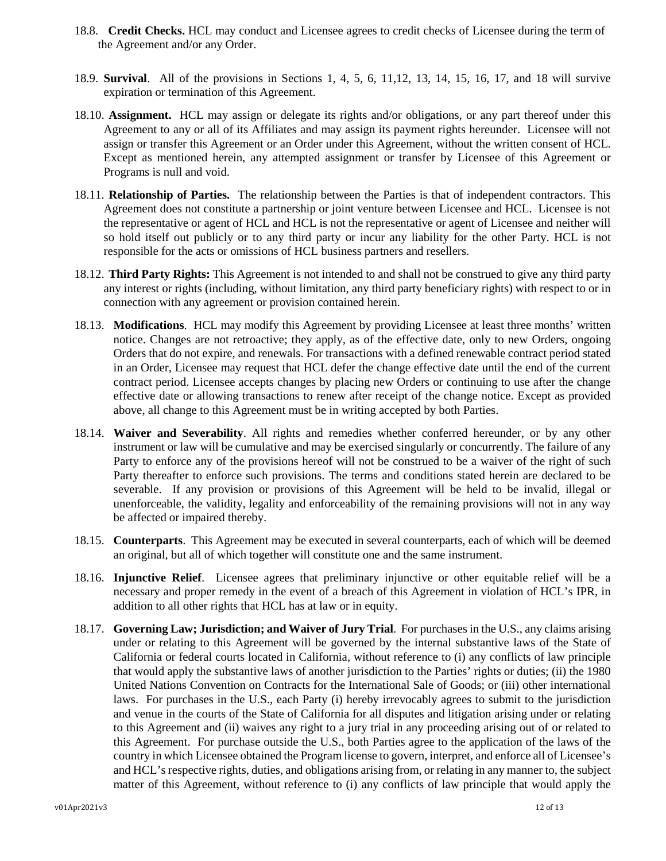- 18.8. **Credit Checks.** HCL may conduct and Licensee agrees to credit checks of Licensee during the term of the Agreement and/or any Order.
- 18.9. **Survival**. All of the provisions in Sections [1,](#page-0-0) [4,](#page-3-0) [5,](#page-4-0) [6,](#page-4-1) [11,](#page-5-0)12, [13,](#page-6-0) [14,](#page-7-0) 15, 16, [17,](#page-9-0) and [18](#page-10-0) will survive expiration or termination of this Agreement.
- 18.10. **Assignment.** HCL may assign or delegate its rights and/or obligations, or any part thereof under this Agreement to any or all of its Affiliates and may assign its payment rights hereunder. Licensee will not assign or transfer this Agreement or an Order under this Agreement, without the written consent of HCL. Except as mentioned herein, any attempted assignment or transfer by Licensee of this Agreement or Programs is null and void.
- 18.11. **Relationship of Parties.** The relationship between the Parties is that of independent contractors. This Agreement does not constitute a partnership or joint venture between Licensee and HCL. Licensee is not the representative or agent of HCL and HCL is not the representative or agent of Licensee and neither will so hold itself out publicly or to any third party or incur any liability for the other Party. HCL is not responsible for the acts or omissions of HCL business partners and resellers.
- 18.12. **Third Party Rights:** This Agreement is not intended to and shall not be construed to give any third party any interest or rights (including, without limitation, any third party beneficiary rights) with respect to or in connection with any agreement or provision contained herein.
- 18.13. **Modifications**. HCL may modify this Agreement by providing Licensee at least three months' written notice. Changes are not retroactive; they apply, as of the effective date, only to new Orders, ongoing Orders that do not expire, and renewals. For transactions with a defined renewable contract period stated in an Order, Licensee may request that HCL defer the change effective date until the end of the current contract period. Licensee accepts changes by placing new Orders or continuing to use after the change effective date or allowing transactions to renew after receipt of the change notice. Except as provided above, all change to this Agreement must be in writing accepted by both Parties.
- 18.14. **Waiver and Severability**. All rights and remedies whether conferred hereunder, or by any other instrument or law will be cumulative and may be exercised singularly or concurrently. The failure of any Party to enforce any of the provisions hereof will not be construed to be a waiver of the right of such Party thereafter to enforce such provisions. The terms and conditions stated herein are declared to be severable. If any provision or provisions of this Agreement will be held to be invalid, illegal or unenforceable, the validity, legality and enforceability of the remaining provisions will not in any way be affected or impaired thereby.
- 18.15. **Counterparts**. This Agreement may be executed in several counterparts, each of which will be deemed an original, but all of which together will constitute one and the same instrument.
- 18.16. **Injunctive Relief**. Licensee agrees that preliminary injunctive or other equitable relief will be a necessary and proper remedy in the event of a breach of this Agreement in violation of HCL's IPR, in addition to all other rights that HCL has at law or in equity.
- 18.17. **Governing Law; Jurisdiction; and Waiver of Jury Trial**. For purchases in the U.S., any claims arising under or relating to this Agreement will be governed by the internal substantive laws of the State of California or federal courts located in California, without reference to (i) any conflicts of law principle that would apply the substantive laws of another jurisdiction to the Parties' rights or duties; (ii) the 1980 United Nations Convention on Contracts for the International Sale of Goods; or (iii) other international laws. For purchases in the U.S., each Party (i) hereby irrevocably agrees to submit to the jurisdiction and venue in the courts of the State of California for all disputes and litigation arising under or relating to this Agreement and (ii) waives any right to a jury trial in any proceeding arising out of or related to this Agreement. For purchase outside the U.S., both Parties agree to the application of the laws of the country in which Licensee obtained the Program license to govern, interpret, and enforce all of Licensee's and HCL's respective rights, duties, and obligations arising from, or relating in any manner to, the subject matter of this Agreement, without reference to (i) any conflicts of law principle that would apply the